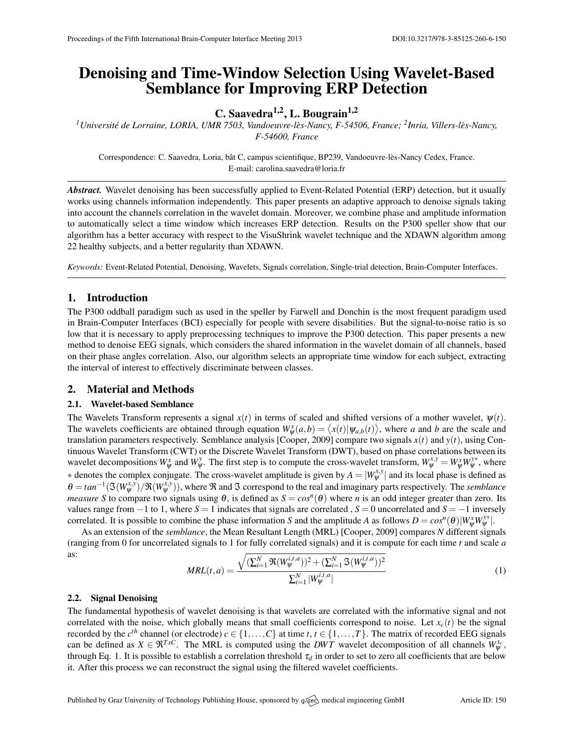# Denoising and Time-Window Selection Using Wavelet-Based Semblance for Improving ERP Detection

C. Saavedra<sup>1,2</sup>, L. Bougrain<sup>1,2</sup>

<sup>1</sup> Université de Lorraine, LORIA, UMR 7503, Vandoeuvre-lès-Nancy, F-54506, France; <sup>2</sup> Inria, Villers-lès-Nancy, *F-54600, France*

Correspondence: C. Saavedra, Loria, bât C, campus scientifique, BP239, Vandoeuvre-lès-Nancy Cedex, France. E-mail: [carolina.saavedra@loria.fr](mailto:carolina.saavedra@loria.fr)

*Abstract.* Wavelet denoising has been successfully applied to Event-Related Potential (ERP) detection, but it usually works using channels information independently. This paper presents an adaptive approach to denoise signals taking into account the channels correlation in the wavelet domain. Moreover, we combine phase and amplitude information to automatically select a time window which increases ERP detection. Results on the P300 speller show that our algorithm has a better accuracy with respect to the VisuShrink wavelet technique and the XDAWN algorithm among 22 healthy subjects, and a better regularity than XDAWN.

*Keywords:* Event-Related Potential, Denoising, Wavelets, Signals correlation, Single-trial detection, Brain-Computer Interfaces.

## 1. Introduction

The P300 oddball paradigm such as used in the speller by Farwell and Donchin is the most frequent paradigm used in Brain-Computer Interfaces (BCI) especially for people with severe disabilities. But the signal-to-noise ratio is so low that it is necessary to apply preprocessing techniques to improve the P300 detection. This paper presents a new method to denoise EEG signals, which considers the shared information in the wavelet domain of all channels, based on their phase angles correlation. Also, our algorithm selects an appropriate time window for each subject, extracting the interval of interest to effectively discriminate between classes.

#### 2. Material and Methods

#### 2.1. Wavelet-based Semblance

The Wavelets Transform represents a signal  $x(t)$  in terms of scaled and shifted versions of a mother wavelet,  $\psi(t)$ . The wavelets coefficients are obtained through equation  $W^x_\psi(a,b) = \langle x(t) | \psi_{a,b}(t) \rangle$ , where *a* and *b* are the scale and translation parameters respectively. Semblance analysis [\[Cooper,](#page-1-0) [2009\]](#page-1-0) compare two signals *x*(*t*) and *y*(*t*), using Continuous Wavelet Transform (CWT) or the Discrete Wavelet Transform (DWT), based on phase correlations between its wavelet decompositions  $W_{\psi}^{x}$  and  $W_{\psi}^{y}$ . The first step is to compute the cross-wavelet transform,  $W_{\psi}^{x,y} = W_{\psi}^{x}W_{\psi}^{y*}$ , where  $*$  denotes the complex conjugate. The cross-wavelet amplitude is given by  $A = |W_{\psi}^{x,y}|$  and its local phase is defined as  $\theta = \tan^{-1}(\mathfrak{S}(W^{x,y}_{\psi})/\mathfrak{R}(W^{x,y}_{\psi}))$ , where  $\mathfrak{R}$  and  $\mathfrak{S}$  correspond to the real and imaginary parts respectively. The *semblance measure S* to compare two signals using  $\theta$ , is defined as  $S = cos^n(\theta)$  where *n* is an odd integer greater than zero. Its values range from  $-1$  to 1, where  $S = 1$  indicates that signals are correlated ,  $S = 0$  uncorrelated and  $S = -1$  inversely correlated. It is possible to combine the phase information *S* and the amplitude *A* as follows  $D = cos^n(\theta)|W^x_{\psi}W^{\gamma*}_{\psi}|$ .

As an extension of the *semblance*, the Mean Resultant Length (MRL) [\[Cooper,](#page-1-0) [2009\]](#page-1-0) compares *N* different signals (ranging from 0 for uncorrelated signals to 1 for fully correlated signals) and it is compute for each time *t* and scale *a* as:

<span id="page-0-0"></span>
$$
MRL(t, a) = \frac{\sqrt{(\sum_{i=1}^{N} \mathfrak{R}(W_{\psi}^{i, t, a}))^{2} + (\sum_{i=1}^{N} \mathfrak{I}(W_{\psi}^{i, t, a}))^{2}}}{\sum_{i=1}^{N} |W_{\psi}^{i, t, a}|}
$$
(1)

#### 2.2. Signal Denoising

The fundamental hypothesis of wavelet denoising is that wavelets are correlated with the informative signal and not correlated with the noise, which globally means that small coefficients correspond to noise. Let  $x_c(t)$  be the signal recorded by the  $c^{th}$  channel (or electrode)  $c \in \{1, ..., C\}$  at time  $t, t \in \{1, ..., T\}$ . The matrix of recorded EEG signals can be defined as  $X \in \mathfrak{R}^{T \times C}$ . The MRL is computed using the *DWT* wavelet decomposition of all channels  $W_{\psi}^{x_c}$ , through Eq. [1.](#page-0-0) It is possible to establish a correlation threshold  $\tau_d$  in order to set to zero all coefficients that are below it. After this process we can reconstruct the signal using the filtered wavelet coefficients.